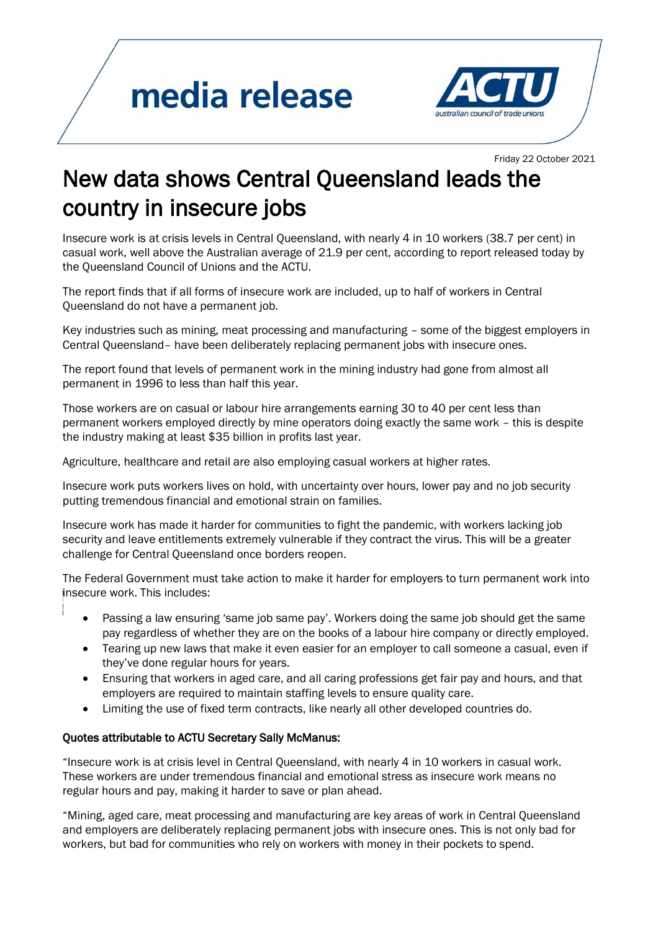## media release



Friday <sup>22</sup> October <sup>2021</sup>

## New data shows Central Queensland leads the country in insecure jobs

Insecure work is at crisis levels in Central Queensland, with nearly 4 in 10 workers (38.7 per cent) in casual work, well above the Australian average of 21.9 per cent, according to report released today by the Queensland Council of Unions and the ACTU.

The report finds that if all forms of insecure work are included, up to half of workers in Central Queensland do not have a permanent job.

Key industries such as mining, meat processing and manufacturing – some of the biggest employers in Central Queensland– have been deliberately replacing permanent jobs with insecure ones.

The report found that levels of permanent work in the mining industry had gone from almost all permanent in 1996 to less than half this year.

Those workers are on casual or labour hire arrangements earning 30 to 40 per cent less than permanent workers employed directly by mine operators doing exactly the same work – this is despite the industry making at least \$35 billion in profits last year.

Agriculture, healthcare and retail are also employing casual workers at higher rates.

Insecure work puts workers lives on hold, with uncertainty over hours, lower pay and no job security putting tremendous financial and emotional strain on families.

Insecure work has made it harder for communities to fight the pandemic, with workers lacking job security and leave entitlements extremely vulnerable if they contract the virus. This will be a greater challenge for Central Queensland once borders reopen.

The Federal Government must take action to make it harder for employers to turn permanent work into insecure work. This includes:

- Passing a law ensuring 'same job same pay'. Workers doing the same job should get the same pay regardless of whether they are on the books of a labour hire company or directly employed.
- Tearing up new laws that make it even easier for an employer to call someone a casual, even if they've done regular hours for years.
- Ensuring that workers in aged care, and all caring professions get fair pay and hours, and that employers are required to maintain staffing levels to ensure quality care.
- Limiting the use of fixed term contracts, like nearly all other developed countries do.

## Quotes attributable to ACTU Secretary Sally McManus:

"Insecure work is at crisis level in Central Queensland, with nearly 4 in 10 workers in casual work. These workers are under tremendous financial and emotional stress as insecure work means no regular hours and pay, making it harder to save or plan ahead.

"Mining, aged care, meat processing and manufacturing are key areas of work in Central Queensland and employers are deliberately replacing permanent jobs with insecure ones. This is not only bad for workers, but bad for communities who rely on workers with money in their pockets to spend.